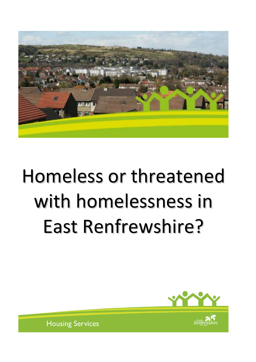

# Homeless or threatened with homelessness in East Renfrewshire?



**Housing Services**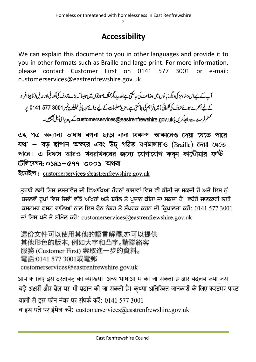$\overline{\phantom{0}}$ 

# **Accessibility**

We can explain this document to you in other languages and provide it to you in other formats such as Braille and large print. For more information, please contact Customer First on 0141 577 3001 or e-mail: customerservices@eastrenfrewshire.gov.uk.

آپ کے لیےاس دستاویز کی دیگر زبانوں میں دضاحت کی جاسکتی ہےاور پید یگرمخلف صورتوں میں جیسا کہ بڑے حروف کی لکھائی اور بریل (نابیبناافراد کے لیے اُنجرےہوئے حروف کی لکھائی) میں فراہم کی جاسکتی ہے۔ مزید معلومات کے لیے برائے مہربانی ٹیلیفون نمبر 3001 577 5141 پ سٹم فرسٹ سے رابط کریں یا customerservices@eastrenfrewshire.gov.uk\_ کے پیدیرای میل بھیجیں۔

এ২ পত্র অন্যান্য ভাষায় বণনা ছাড়া নানা বিকল্প আকারেও দেয়া যেতে পারে যথা – বড় ছাপান অক্ষরে এবং উঁচু গঠিত বর্ণমালায়ও (Braille) দেয়া যেতে পারে। এ বিষয়ে আরও খবরাখবরের জন্যে যোগাযোগ করুন কাউৌমার ফর্ষি টেলিফোন: ০১৪১–৫৭৭ ৩০০১ অথবা

ইমেইল: customerservices@eastrenfrewshire.gov.uk

ਤੁਹਾਡੇ ਲਈ ਇਸ ਦਸਤਾਵੇਜ਼ ਦੀ ਵਿਆਖਿਆ ਹੋਰਨਾਂ ਭਾਸ਼ਾਵਾਂ ਵਿਚ ਵੀ ਕੀਤੀ ਜਾ ਸਕਦੀ ਹੈ ਅਤੇ ਇਸ ਨੂੰ ਬਦਲਵੇਂ ਰੂਪਾਂ ਵਿਚ ਜਿਵੇਂ ਵੱਡੇ ਅੱਖਰਾਂ ਅਤੇ ਬਰੇਲ ਤੇ ਪ੍ਰਦਾਨ ਕੀਤਾ ਜਾ ਸਕਦਾ ਹੈ। ਵਧੇਰੇ ਜਾਣਕਾਰੀ ਲਈ ਕਸਟਮਰ ਫਸਟ ਵਾਲਿਆਂ ਨਾਲ ਇਸ ਫੋਨ ਨੰਬਰ ਤੇ ਸੰਪਰਕ ਕਰਨ ਦੀ ਕ੍ਰਿਪਾਲਤਾ ਕਰੋ: 0141 577 3001 ਜਾਂ ਇਸ ਪਤੇ ਤੇ ਈਮੇਲ ਕਰੋ: customerservices@eastrenfrewshire.gov.uk

這份文件可以使用其他的語言解釋,亦可以提供 其他形色的版本, 例如大字和凸字。請聯絡客 服務 (Customer First) 索取進一步的資料。 電話:0141 577 3001或電郵 customerservices@eastrenfrewshire.gov.uk

आप क ालए इस दस्तावज़ का व्याख्या अन्य भाषाआ म का जा सकता ह आर बदलव रूपा जस बड़े अक्षरों और ब्रेल पर भी प्रदान की जा सकती है। कृप्या अतिरिक्त जानकारी के लिए कस्टमर फस्ट वालों से इस फोन नंबर पर संपर्क करें: 0141 577 3001 व इस पते पर ईमेल करें: customerservices@eastrenfrewshire.gov.uk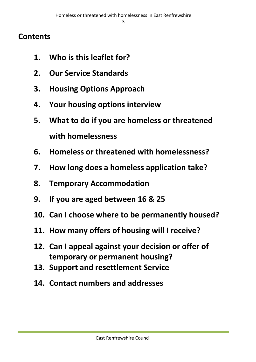## **Contents**

- **1. Who is this leaflet for?**
- **2. Our Service Standards**
- **3. Housing Options Approach**
- **4. Your housing options interview**
- **5. What to do if you are homeless or threatened with homelessness**
- **6. Homeless or threatened with homelessness?**
- **7. How long does a homeless application take?**
- **8. Temporary Accommodation**
- **9. If you are aged between 16 & 25**
- **10. Can I choose where to be permanently housed?**
- **11. How many offers of housing will I receive?**
- **12. Can I appeal against your decision or offer of temporary or permanent housing?**
- **13. Support and resettlement Service**
- **14. Contact numbers and addresses**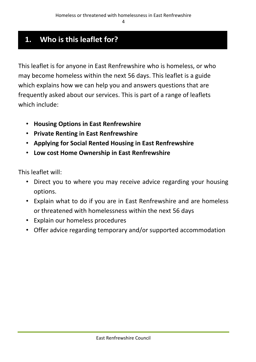# **1. Who is this leaflet for?**

This leaflet is for anyone in East Renfrewshire who is homeless, or who may become homeless within the next 56 days. This leaflet is a guide which explains how we can help you and answers questions that are frequently asked about our services. This is part of a range of leaflets which include:

- **Housing Options in East Renfrewshire**
- **Private Renting in East Renfrewshire**
- **Applying for Social Rented Housing in East Renfrewshire**
- **Low cost Home Ownership in East Renfrewshire**

This leaflet will:

- Direct you to where you may receive advice regarding your housing options.
- Explain what to do if you are in East Renfrewshire and are homeless or threatened with homelessness within the next 56 days
- Explain our homeless procedures
- Offer advice regarding temporary and/or supported accommodation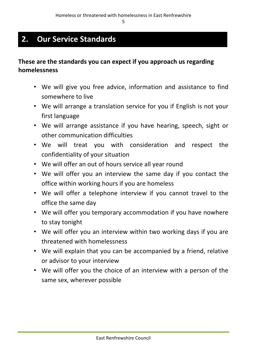5

# **2. Our Service Standards**

#### **These are the standards you can expect if you approach us regarding homelessness**

- We will give you free advice, information and assistance to find somewhere to live
- We will arrange a translation service for you if English is not your first language
- We will arrange assistance if you have hearing, speech, sight or other communication difficulties
- We will treat you with consideration and respect the confidentiality of your situation
- We will offer an out of hours service all year round
- We will offer you an interview the same day if you contact the office within working hours if you are homeless
- We will offer a telephone interview if you cannot travel to the office the same day
- We will offer you temporary accommodation if you have nowhere to stay tonight
- We will offer you an interview within two working days if you are threatened with homelessness
- We will explain that you can be accompanied by a friend, relative or advisor to your interview
- We will offer you the choice of an interview with a person of the same sex, wherever possible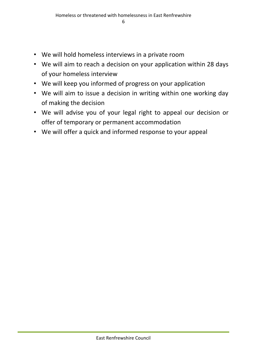- We will hold homeless interviews in a private room
- We will aim to reach a decision on your application within 28 days of your homeless interview
- We will keep you informed of progress on your application
- We will aim to issue a decision in writing within one working day of making the decision
- We will advise you of your legal right to appeal our decision or offer of temporary or permanent accommodation
- We will offer a quick and informed response to your appeal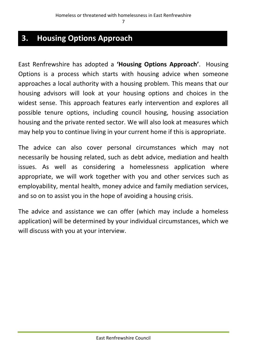## **3. Housing Options Approach**

East Renfrewshire has adopted a **'Housing Options Approach'**. Housing Options is a process which starts with housing advice when someone approaches a local authority with a housing problem. This means that our housing advisors will look at your housing options and choices in the widest sense. This approach features early intervention and explores all possible tenure options, including council housing, housing association housing and the private rented sector. We will also look at measures which may help you to continue living in your current home if this is appropriate.

The advice can also cover personal circumstances which may not necessarily be housing related, such as debt advice, mediation and health issues. As well as considering a homelessness application where appropriate, we will work together with you and other services such as employability, mental health, money advice and family mediation services, and so on to assist you in the hope of avoiding a housing crisis.

The advice and assistance we can offer (which may include a homeless application) will be determined by your individual circumstances, which we will discuss with you at your interview.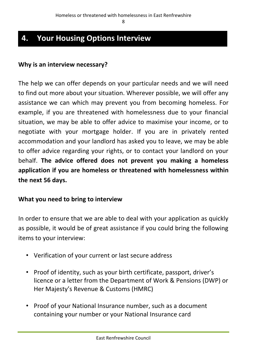# **4. Your Housing Options Interview**

#### **Why is an interview necessary?**

The help we can offer depends on your particular needs and we will need to find out more about your situation. Wherever possible, we will offer any assistance we can which may prevent you from becoming homeless. For example, if you are threatened with homelessness due to your financial situation, we may be able to offer advice to maximise your income, or to negotiate with your mortgage holder. If you are in privately rented accommodation and your landlord has asked you to leave, we may be able to offer advice regarding your rights, or to contact your landlord on your behalf. **The advice offered does not prevent you making a homeless application if you are homeless or threatened with homelessness within the next 56 days.**

#### **What you need to bring to interview**

In order to ensure that we are able to deal with your application as quickly as possible, it would be of great assistance if you could bring the following items to your interview:

- Verification of your current or last secure address
- Proof of identity, such as your birth certificate, passport, driver's licence or a letter from the Department of Work & Pensions (DWP) or Her Majesty's Revenue & Customs (HMRC)
- Proof of your National Insurance number, such as a document containing your number or your National Insurance card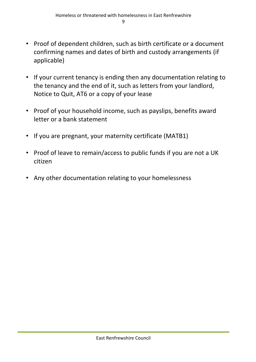- Proof of dependent children, such as birth certificate or a document confirming names and dates of birth and custody arrangements (if applicable)
- If your current tenancy is ending then any documentation relating to the tenancy and the end of it, such as letters from your landlord, Notice to Quit, AT6 or a copy of your lease
- Proof of your household income, such as payslips, benefits award letter or a bank statement
- If you are pregnant, your maternity certificate (MATB1)
- Proof of leave to remain/access to public funds if you are not a UK citizen
- Any other documentation relating to your homelessness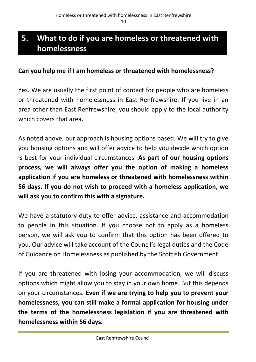# **5. What to do if you are homeless or threatened with homelessness**

#### **Can you help me if I am homeless or threatened with homelessness?**

Yes. We are usually the first point of contact for people who are homeless or threatened with homelessness in East Renfrewshire. If you live in an area other than East Renfrewshire, you should apply to the local authority which covers that area.

As noted above, our approach is housing options based. We will try to give you housing options and will offer advice to help you decide which option is best for your individual circumstances. **As part of our housing options process, we will always offer you the option of making a homeless application if you are homeless or threatened with homelessness within 56 days. If you do not wish to proceed with a homeless application, we will ask you to confirm this with a signature.**

We have a statutory duty to offer advice, assistance and accommodation to people in this situation. If you choose not to apply as a homeless person, we will ask you to confirm that this option has been offered to you. Our advice will take account of the Council's legal duties and the Code of Guidance on Homelessness as published by the Scottish Government.

If you are threatened with losing your accommodation, we will discuss options which might allow you to stay in your own home. But this depends on your circumstances. **Even if we are trying to help you to prevent your homelessness, you can still make a formal application for housing under the terms of the homelessness legislation if you are threatened with homelessness within 56 days.**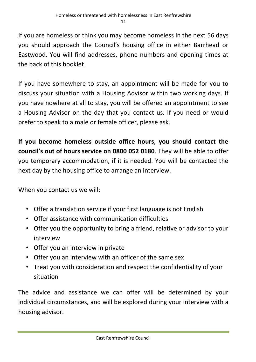If you are homeless or think you may become homeless in the next 56 days you should approach the Council's housing office in either Barrhead or Eastwood. You will find addresses, phone numbers and opening times at the back of this booklet.

If you have somewhere to stay, an appointment will be made for you to discuss your situation with a Housing Advisor within two working days. If you have nowhere at all to stay, you will be offered an appointment to see a Housing Advisor on the day that you contact us. If you need or would prefer to speak to a male or female officer, please ask.

**If you become homeless outside office hours, you should contact the council's out of hours service on 0800 052 0180**. They will be able to offer you temporary accommodation, if it is needed. You will be contacted the next day by the housing office to arrange an interview.

When you contact us we will:

- Offer a translation service if your first language is not English
- Offer assistance with communication difficulties
- Offer you the opportunity to bring a friend, relative or advisor to your interview
- Offer you an interview in private
- Offer you an interview with an officer of the same sex
- Treat you with consideration and respect the confidentiality of your situation

The advice and assistance we can offer will be determined by your individual circumstances, and will be explored during your interview with a housing advisor.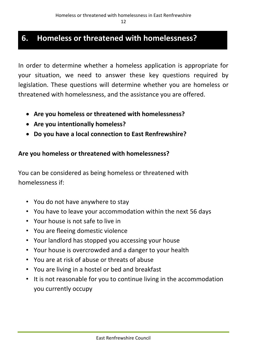# **6. Homeless or threatened with homelessness?**

In order to determine whether a homeless application is appropriate for your situation, we need to answer these key questions required by legislation. These questions will determine whether you are homeless or threatened with homelessness, and the assistance you are offered.

- **Are you homeless or threatened with homelessness?**
- **Are you intentionally homeless?**
- **Do you have a local connection to East Renfrewshire?**

#### **Are you homeless or threatened with homelessness?**

You can be considered as being homeless or threatened with homelessness if:

- You do not have anywhere to stay
- You have to leave your accommodation within the next 56 days
- Your house is not safe to live in
- You are fleeing domestic violence
- Your landlord has stopped you accessing your house
- Your house is overcrowded and a danger to your health
- You are at risk of abuse or threats of abuse
- You are living in a hostel or bed and breakfast
- It is not reasonable for you to continue living in the accommodation you currently occupy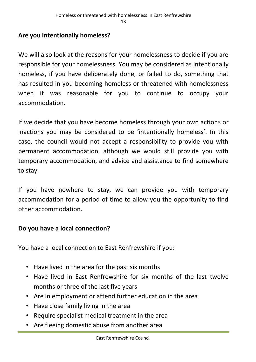#### **Are you intentionally homeless?**

We will also look at the reasons for your homelessness to decide if you are responsible for your homelessness. You may be considered as intentionally homeless, if you have deliberately done, or failed to do, something that has resulted in you becoming homeless or threatened with homelessness when it was reasonable for you to continue to occupy your accommodation.

If we decide that you have become homeless through your own actions or inactions you may be considered to be 'intentionally homeless'. In this case, the council would not accept a responsibility to provide you with permanent accommodation, although we would still provide you with temporary accommodation, and advice and assistance to find somewhere to stay.

If you have nowhere to stay, we can provide you with temporary accommodation for a period of time to allow you the opportunity to find other accommodation.

#### **Do you have a local connection?**

You have a local connection to East Renfrewshire if you:

- Have lived in the area for the past six months
- Have lived in East Renfrewshire for six months of the last twelve months or three of the last five years
- Are in employment or attend further education in the area
- Have close family living in the area
- Require specialist medical treatment in the area
- Are fleeing domestic abuse from another area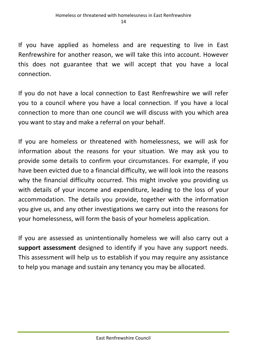If you have applied as homeless and are requesting to live in East Renfrewshire for another reason, we will take this into account. However this does not guarantee that we will accept that you have a local connection.

If you do not have a local connection to East Renfrewshire we will refer you to a council where you have a local connection. If you have a local connection to more than one council we will discuss with you which area you want to stay and make a referral on your behalf.

If you are homeless or threatened with homelessness, we will ask for information about the reasons for your situation. We may ask you to provide some details to confirm your circumstances. For example, if you have been evicted due to a financial difficulty, we will look into the reasons why the financial difficulty occurred. This might involve you providing us with details of your income and expenditure, leading to the loss of your accommodation. The details you provide, together with the information you give us, and any other investigations we carry out into the reasons for your homelessness, will form the basis of your homeless application.

If you are assessed as unintentionally homeless we will also carry out a **support assessment** designed to identify if you have any support needs. This assessment will help us to establish if you may require any assistance to help you manage and sustain any tenancy you may be allocated.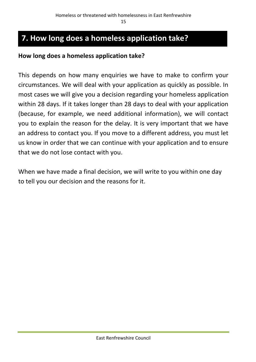# **7. How long does a homeless application take?**

#### **How long does a homeless application take?**

This depends on how many enquiries we have to make to confirm your circumstances. We will deal with your application as quickly as possible. In most cases we will give you a decision regarding your homeless application within 28 days. If it takes longer than 28 days to deal with your application (because, for example, we need additional information), we will contact you to explain the reason for the delay. It is very important that we have an address to contact you. If you move to a different address, you must let us know in order that we can continue with your application and to ensure that we do not lose contact with you.

When we have made a final decision, we will write to you within one day to tell you our decision and the reasons for it.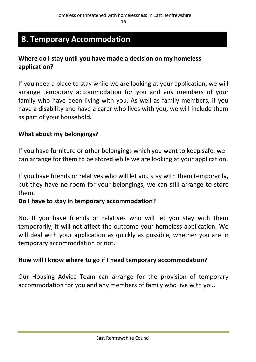## **8. Temporary Accommodation**

#### **Where do I stay until you have made a decision on my homeless application?**

If you need a place to stay while we are looking at your application, we will arrange temporary accommodation for you and any members of your family who have been living with you. As well as family members, if you have a disability and have a carer who lives with you, we will include them as part of your household.

#### **What about my belongings?**

If you have furniture or other belongings which you want to keep safe, we can arrange for them to be stored while we are looking at your application.

If you have friends or relatives who will let you stay with them temporarily, but they have no room for your belongings, we can still arrange to store them.

#### **Do I have to stay in temporary accommodation?**

No. If you have friends or relatives who will let you stay with them temporarily, it will not affect the outcome your homeless application. We will deal with your application as quickly as possible, whether you are in temporary accommodation or not.

#### **How will I know where to go if I need temporary accommodation?**

Our Housing Advice Team can arrange for the provision of temporary accommodation for you and any members of family who live with you.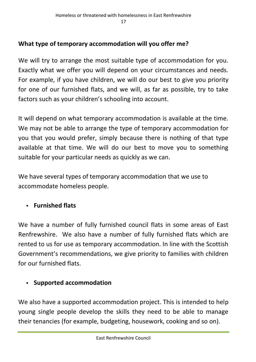#### **What type of temporary accommodation will you offer me?**

We will try to arrange the most suitable type of accommodation for you. Exactly what we offer you will depend on your circumstances and needs. For example, if you have children, we will do our best to give you priority for one of our furnished flats, and we will, as far as possible, try to take factors such as your children's schooling into account.

It will depend on what temporary accommodation is available at the time. We may not be able to arrange the type of temporary accommodation for you that you would prefer, simply because there is nothing of that type available at that time. We will do our best to move you to something suitable for your particular needs as quickly as we can.

We have several types of temporary accommodation that we use to accommodate homeless people.

#### **Furnished flats**

We have a number of fully furnished council flats in some areas of East Renfrewshire. We also have a number of fully furnished flats which are rented to us for use as temporary accommodation. In line with the Scottish Government's recommendations, we give priority to families with children for our furnished flats.

#### **Supported accommodation**

We also have a supported accommodation project. This is intended to help young single people develop the skills they need to be able to manage their tenancies (for example, budgeting, housework, cooking and so on).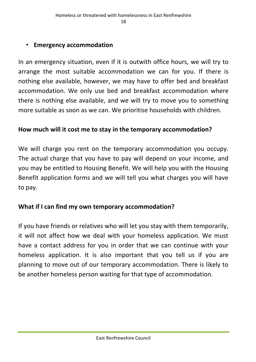#### • **Emergency accommodation**

In an emergency situation, even if it is outwith office hours, we will try to arrange the most suitable accommodation we can for you. If there is nothing else available, however, we may have to offer bed and breakfast accommodation. We only use bed and breakfast accommodation where there is nothing else available, and we will try to move you to something more suitable as soon as we can. We prioritise households with children.

#### **How much will it cost me to stay in the temporary accommodation?**

We will charge you rent on the temporary accommodation you occupy. The actual charge that you have to pay will depend on your income, and you may be entitled to Housing Benefit. We will help you with the Housing Benefit application forms and we will tell you what charges you will have to pay.

#### **What if I can find my own temporary accommodation?**

If you have friends or relatives who will let you stay with them temporarily, it will not affect how we deal with your homeless application. We must have a contact address for you in order that we can continue with your homeless application. It is also important that you tell us if you are planning to move out of our temporary accommodation. There is likely to be another homeless person waiting for that type of accommodation.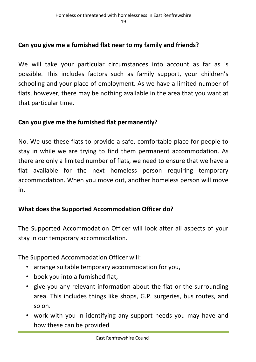#### **Can you give me a furnished flat near to my family and friends?**

We will take your particular circumstances into account as far as is possible. This includes factors such as family support, your children's schooling and your place of employment. As we have a limited number of flats, however, there may be nothing available in the area that you want at that particular time.

#### **Can you give me the furnished flat permanently?**

No. We use these flats to provide a safe, comfortable place for people to stay in while we are trying to find them permanent accommodation. As there are only a limited number of flats, we need to ensure that we have a flat available for the next homeless person requiring temporary accommodation. When you move out, another homeless person will move in.

#### **What does the Supported Accommodation Officer do?**

The Supported Accommodation Officer will look after all aspects of your stay in our temporary accommodation.

The Supported Accommodation Officer will:

- arrange suitable temporary accommodation for you,
- book you into a furnished flat,
- give you any relevant information about the flat or the surrounding area. This includes things like shops, G.P. surgeries, bus routes, and so on.
- work with you in identifying any support needs you may have and how these can be provided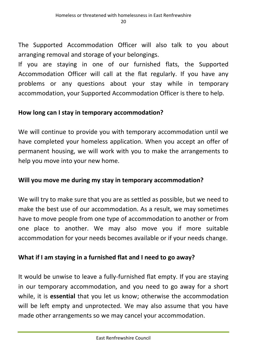The Supported Accommodation Officer will also talk to you about arranging removal and storage of your belongings.

If you are staying in one of our furnished flats, the Supported Accommodation Officer will call at the flat regularly. If you have any problems or any questions about your stay while in temporary accommodation, your Supported Accommodation Officer is there to help.

#### **How long can I stay in temporary accommodation?**

We will continue to provide you with temporary accommodation until we have completed your homeless application. When you accept an offer of permanent housing, we will work with you to make the arrangements to help you move into your new home.

#### **Will you move me during my stay in temporary accommodation?**

We will try to make sure that you are as settled as possible, but we need to make the best use of our accommodation. As a result, we may sometimes have to move people from one type of accommodation to another or from one place to another. We may also move you if more suitable accommodation for your needs becomes available or if your needs change.

#### **What if I am staying in a furnished flat and I need to go away?**

It would be unwise to leave a fully-furnished flat empty. If you are staying in our temporary accommodation, and you need to go away for a short while, it is **essential** that you let us know; otherwise the accommodation will be left empty and unprotected. We may also assume that you have made other arrangements so we may cancel your accommodation.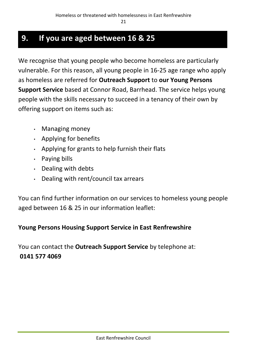## **9. If you are aged between 16 & 25**

We recognise that young people who become homeless are particularly vulnerable. For this reason, all young people in 16-25 age range who apply as homeless are referred for **Outreach Support** to **our Young Persons Support Service** based at Connor Road, Barrhead. The service helps young people with the skills necessary to succeed in a tenancy of their own by offering support on items such as:

- Managing money
- Applying for benefits
- Applying for grants to help furnish their flats
- Paying bills
- Dealing with debts
- Dealing with rent/council tax arrears

You can find further information on our services to homeless young people aged between 16 & 25 in our information leaflet:

#### **Young Persons Housing Support Service in East Renfrewshire**

You can contact the **Outreach Support Service** by telephone at: **0141 577 4069**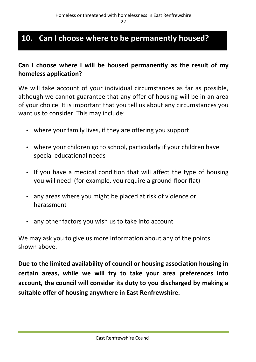# **10. Can I choose where to be permanently housed?**

#### **Can I choose where I will be housed permanently as the result of my homeless application?**

We will take account of your individual circumstances as far as possible. although we cannot guarantee that any offer of housing will be in an area of your choice. It is important that you tell us about any circumstances you want us to consider. This may include:

- where your family lives, if they are offering you support
- where your children go to school, particularly if your children have special educational needs
- If you have a medical condition that will affect the type of housing you will need (for example, you require a ground-floor flat)
- any areas where you might be placed at risk of violence or harassment
- any other factors you wish us to take into account

We may ask you to give us more information about any of the points shown above.

**Due to the limited availability of council or housing association housing in certain areas, while we will try to take your area preferences into account, the council will consider its duty to you discharged by making a suitable offer of housing anywhere in East Renfrewshire.**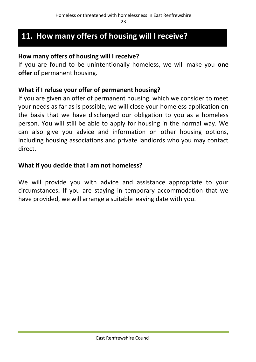## **11. How many offers of housing will I receive?**

#### **How many offers of housing will I receive?**

If you are found to be unintentionally homeless, we will make you **one offer** of permanent housing.

#### **What if I refuse your offer of permanent housing?**

If you are given an offer of permanent housing, which we consider to meet your needs as far as is possible, we will close your homeless application on the basis that we have discharged our obligation to you as a homeless person. You will still be able to apply for housing in the normal way. We can also give you advice and information on other housing options, including housing associations and private landlords who you may contact direct.

#### **What if you decide that I am not homeless?**

We will provide you with advice and assistance appropriate to your circumstances**.** If you are staying in temporary accommodation that we have provided, we will arrange a suitable leaving date with you.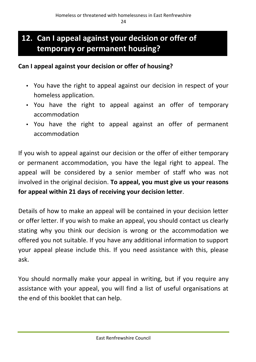# **12. Can I appeal against your decision or offer of temporary or permanent housing?**

#### **Can I appeal against your decision or offer of housing?**

- You have the right to appeal against our decision in respect of your homeless application.
- You have the right to appeal against an offer of temporary accommodation
- You have the right to appeal against an offer of permanent accommodation

If you wish to appeal against our decision or the offer of either temporary or permanent accommodation, you have the legal right to appeal. The appeal will be considered by a senior member of staff who was not involved in the original decision. **To appeal, you must give us your reasons for appeal within 21 days of receiving your decision letter**.

Details of how to make an appeal will be contained in your decision letter or offer letter. If you wish to make an appeal, you should contact us clearly stating why you think our decision is wrong or the accommodation we offered you not suitable. If you have any additional information to support your appeal please include this. If you need assistance with this, please ask.

You should normally make your appeal in writing, but if you require any assistance with your appeal, you will find a list of useful organisations at the end of this booklet that can help.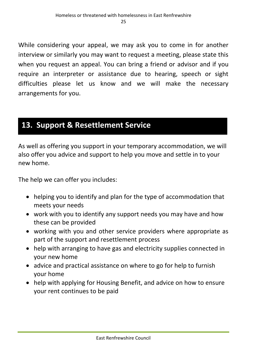While considering your appeal, we may ask you to come in for another interview or similarly you may want to request a meeting, please state this when you request an appeal. You can bring a friend or advisor and if you require an interpreter or assistance due to hearing, speech or sight difficulties please let us know and we will make the necessary arrangements for you.

## **13. Support & Resettlement Service**

As well as offering you support in your temporary accommodation, we will also offer you advice and support to help you move and settle in to your new home.

The help we can offer you includes:

- helping you to identify and plan for the type of accommodation that meets your needs
- work with you to identify any support needs you may have and how these can be provided
- working with you and other service providers where appropriate as part of the support and resettlement process
- help with arranging to have gas and electricity supplies connected in your new home
- advice and practical assistance on where to go for help to furnish your home
- help with applying for Housing Benefit, and advice on how to ensure your rent continues to be paid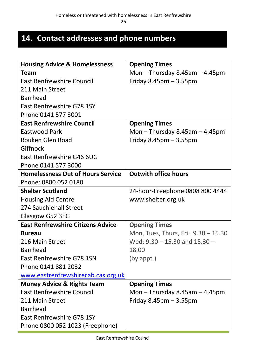# **14. Contact addresses and phone numbers**

| <b>Housing Advice &amp; Homelessness</b> | <b>Opening Times</b>                |
|------------------------------------------|-------------------------------------|
| <b>Team</b>                              | Mon $-$ Thursday 8.45am $-$ 4.45pm  |
| <b>East Renfrewshire Council</b>         | Friday $8.45$ pm $-3.55$ pm         |
| 211 Main Street                          |                                     |
| <b>Barrhead</b>                          |                                     |
| East Renfrewshire G78 1SY                |                                     |
| Phone 0141 577 3001                      |                                     |
| <b>East Renfrewshire Council</b>         | <b>Opening Times</b>                |
| Eastwood Park                            | Mon $-$ Thursday 8.45am $-$ 4.45pm  |
| Rouken Glen Road                         | Friday $8.45$ pm $-3.55$ pm         |
| Giffnock                                 |                                     |
| East Renfrewshire G46 6UG                |                                     |
| Phone 0141 577 3000                      |                                     |
| <b>Homelessness Out of Hours Service</b> | <b>Outwith office hours</b>         |
| Phone: 0800 052 0180                     |                                     |
| <b>Shelter Scotland</b>                  | 24-hour-Freephone 0808 800 4444     |
| <b>Housing Aid Centre</b>                | www.shelter.org.uk                  |
| 274 Sauchiehall Street                   |                                     |
| Glasgow G52 3EG                          |                                     |
| <b>East Renfrewshire Citizens Advice</b> | <b>Opening Times</b>                |
| <b>Bureau</b>                            | Mon, Tues, Thurs, Fri: 9.30 - 15.30 |
| 216 Main Street                          | Wed: $9.30 - 15.30$ and $15.30 -$   |
| Barrhead                                 | 18.00                               |
| East Renfrewshire G78 1SN                | $(by$ appt.)                        |
| Phone 0141 881 2032                      |                                     |
| www.eastrenfrewshirecab.cas.org.uk       |                                     |
| <b>Money Advice &amp; Rights Team</b>    | <b>Opening Times</b>                |
| <b>East Renfrewshire Council</b>         | Mon $-$ Thursday 8.45am $-$ 4.45pm  |
| 211 Main Street                          | Friday $8.45$ pm $-3.55$ pm         |
| <b>Barrhead</b>                          |                                     |
| East Renfrewshire G78 1SY                |                                     |
| Phone 0800 052 1023 (Freephone)          |                                     |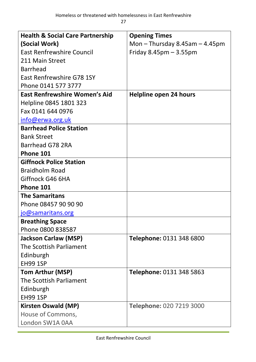27

| <b>Health &amp; Social Care Partnership</b> | <b>Opening Times</b>               |
|---------------------------------------------|------------------------------------|
| (Social Work)                               | Mon $-$ Thursday 8.45am $-$ 4.45pm |
| <b>East Renfrewshire Council</b>            | Friday $8.45$ pm $-3.55$ pm        |
| 211 Main Street                             |                                    |
| <b>Barrhead</b>                             |                                    |
| East Renfrewshire G78 1SY                   |                                    |
| Phone 0141 577 3777                         |                                    |
| <b>East Renfrewshire Women's Aid</b>        | Helpline open 24 hours             |
| Helpline 0845 1801 323                      |                                    |
| Fax 0141 644 0976                           |                                    |
| info@erwa.org.uk                            |                                    |
| <b>Barrhead Police Station</b>              |                                    |
| <b>Bank Street</b>                          |                                    |
| Barrhead G78 2RA                            |                                    |
| Phone 101                                   |                                    |
| <b>Giffnock Police Station</b>              |                                    |
| <b>Braidholm Road</b>                       |                                    |
| Giffnock G46 6HA                            |                                    |
| Phone 101                                   |                                    |
| <b>The Samaritans</b>                       |                                    |
| Phone 08457 90 90 90                        |                                    |
| jo@samaritans.org                           |                                    |
| <b>Breathing Space</b>                      |                                    |
| Phone 0800 838587                           |                                    |
| <b>Jackson Carlaw (MSP)</b>                 | Telephone: 0131 348 6800           |
| The Scottish Parliament                     |                                    |
| Edinburgh                                   |                                    |
| <b>EH99 1SP</b>                             |                                    |
| <b>Tom Arthur (MSP)</b>                     | Telephone: 0131 348 5863           |
| The Scottish Parliament                     |                                    |
| Edinburgh                                   |                                    |
| <b>EH99 1SP</b>                             |                                    |
| <b>Kirsten Oswald (MP)</b>                  | Telephone: 020 7219 3000           |
| House of Commons,                           |                                    |
| London SW1A 0AA                             |                                    |